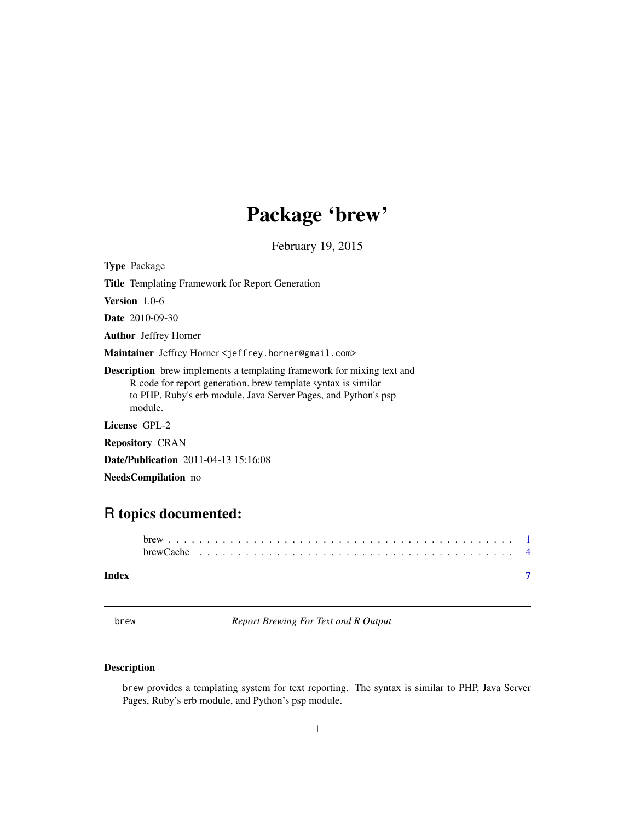## Package 'brew'

February 19, 2015

<span id="page-0-1"></span><span id="page-0-0"></span>Type Package

Title Templating Framework for Report Generation

Version 1.0-6

Date 2010-09-30

Author Jeffrey Horner

Maintainer Jeffrey Horner <jeffrey.horner@gmail.com>

Description brew implements a templating framework for mixing text and R code for report generation. brew template syntax is similar to PHP, Ruby's erb module, Java Server Pages, and Python's psp module.

License GPL-2

Repository CRAN

Date/Publication 2011-04-13 15:16:08

NeedsCompilation no

### R topics documented:

| Index |  |  |  |  |  |  |  |  |  |  |  |  |  |  |  |  |  |  |  |  |
|-------|--|--|--|--|--|--|--|--|--|--|--|--|--|--|--|--|--|--|--|--|

brew *Report Brewing For Text and R Output*

#### Description

brew provides a templating system for text reporting. The syntax is similar to PHP, Java Server Pages, Ruby's erb module, and Python's psp module.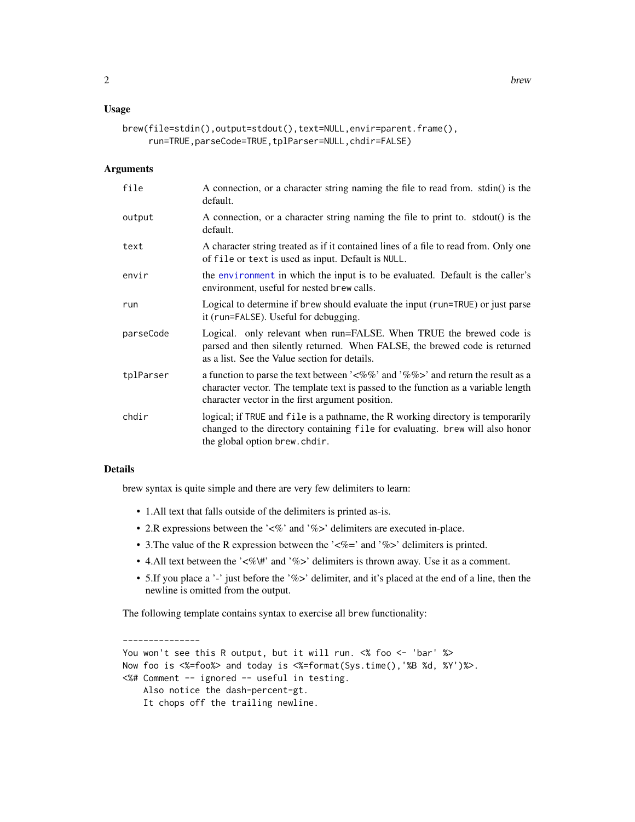#### <span id="page-1-0"></span>Usage

```
brew(file=stdin(),output=stdout(),text=NULL,envir=parent.frame(),
     run=TRUE,parseCode=TRUE,tplParser=NULL,chdir=FALSE)
```
#### Arguments

| file      | A connection, or a character string naming the file to read from. stdin() is the<br>default.                                                                                                                                                  |
|-----------|-----------------------------------------------------------------------------------------------------------------------------------------------------------------------------------------------------------------------------------------------|
| output    | A connection, or a character string naming the file to print to. stdout() is the<br>default.                                                                                                                                                  |
| text      | A character string treated as if it contained lines of a file to read from. Only one<br>of file or text is used as input. Default is NULL.                                                                                                    |
| envir     | the environment in which the input is to be evaluated. Default is the caller's<br>environment, useful for nested brew calls.                                                                                                                  |
| run       | Logical to determine if brew should evaluate the input (run=TRUE) or just parse<br>it (run=FALSE). Useful for debugging.                                                                                                                      |
| parseCode | Logical. only relevant when run=FALSE. When TRUE the brewed code is<br>parsed and then silently returned. When FALSE, the brewed code is returned<br>as a list. See the Value section for details.                                            |
| tplParser | a function to parse the text between $\frac{1}{6}\%$ and $\frac{1}{6}\%$ and return the result as a<br>character vector. The template text is passed to the function as a variable length<br>character vector in the first argument position. |
| chdir     | logical; if TRUE and file is a pathname, the R working directory is temporarily<br>changed to the directory containing file for evaluating. brew will also honor<br>the global option brew.chdir.                                             |

#### Details

brew syntax is quite simple and there are very few delimiters to learn:

- 1.All text that falls outside of the delimiters is printed as-is.
- 2.R expressions between the '<%' and '%>' delimiters are executed in-place.
- 3. The value of the R expression between the ' $\ll\approx$ ' and '%>' delimiters is printed.
- 4. All text between the '<%\#' and '%>' delimiters is thrown away. Use it as a comment.
- 5.If you place a '-' just before the '%>' delimiter, and it's placed at the end of a line, then the newline is omitted from the output.

The following template contains syntax to exercise all brew functionality:

--------------- You won't see this R output, but it will run. <% foo <- 'bar' %> Now foo is <%=foo%> and today is <%=format(Sys.time(),'%B %d, %Y')%>. <%# Comment -- ignored -- useful in testing. Also notice the dash-percent-gt. It chops off the trailing newline.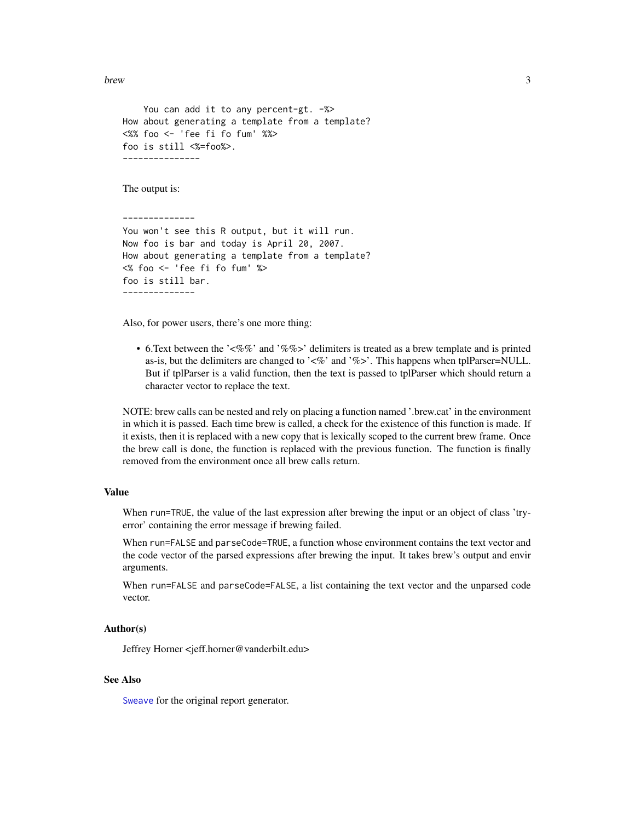<span id="page-2-0"></span>brew 3

```
You can add it to any percent-gt. -%>
How about generating a template from a template?
<%% foo <- 'fee fi fo fum' %%>
foo is still <%=foo%>.
---------------
```
The output is:

-------------- You won't see this R output, but it will run. Now foo is bar and today is April 20, 2007. How about generating a template from a template? <% foo <- 'fee fi fo fum' %> foo is still bar. --------------

Also, for power users, there's one more thing:

• 6.Text between the '<%%' and '%%>' delimiters is treated as a brew template and is printed as-is, but the delimiters are changed to  $\angle\%$  and  $\%$  >. This happens when tplParser=NULL. But if tplParser is a valid function, then the text is passed to tplParser which should return a character vector to replace the text.

NOTE: brew calls can be nested and rely on placing a function named '.brew.cat' in the environment in which it is passed. Each time brew is called, a check for the existence of this function is made. If it exists, then it is replaced with a new copy that is lexically scoped to the current brew frame. Once the brew call is done, the function is replaced with the previous function. The function is finally removed from the environment once all brew calls return.

#### Value

When run=TRUE, the value of the last expression after brewing the input or an object of class 'tryerror' containing the error message if brewing failed.

When run=FALSE and parseCode=TRUE, a function whose environment contains the text vector and the code vector of the parsed expressions after brewing the input. It takes brew's output and envir arguments.

When run=FALSE and parseCode=FALSE, a list containing the text vector and the unparsed code vector.

#### Author(s)

Jeffrey Horner <jeff.horner@vanderbilt.edu>

#### See Also

[Sweave](#page-0-1) for the original report generator.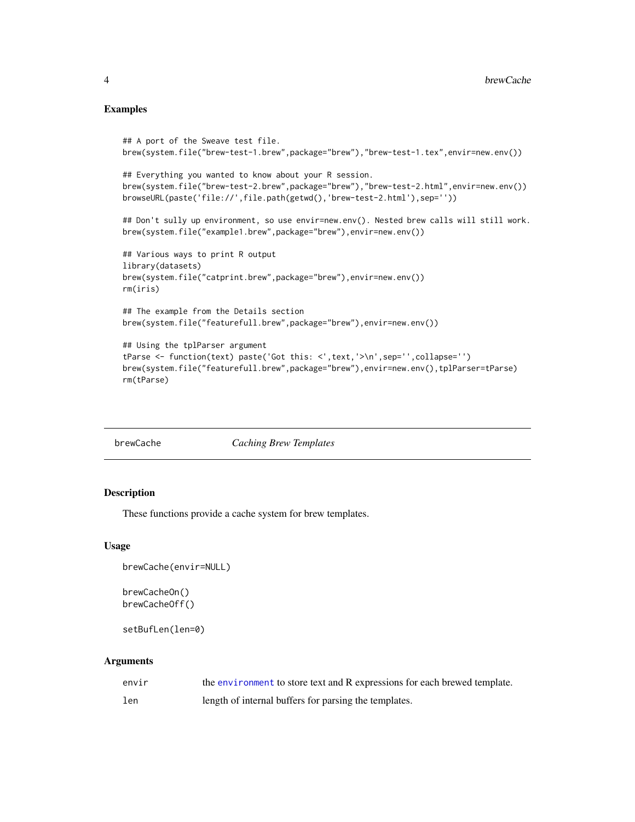#### <span id="page-3-0"></span>Examples

```
## A port of the Sweave test file.
brew(system.file("brew-test-1.brew",package="brew"),"brew-test-1.tex",envir=new.env())
## Everything you wanted to know about your R session.
brew(system.file("brew-test-2.brew",package="brew"),"brew-test-2.html",envir=new.env())
browseURL(paste('file://',file.path(getwd(),'brew-test-2.html'),sep=''))
## Don't sully up environment, so use envir=new.env(). Nested brew calls will still work.
brew(system.file("example1.brew",package="brew"),envir=new.env())
## Various ways to print R output
library(datasets)
brew(system.file("catprint.brew",package="brew"),envir=new.env())
rm(iris)
## The example from the Details section
brew(system.file("featurefull.brew",package="brew"),envir=new.env())
## Using the tplParser argument
tParse <- function(text) paste('Got this: <',text,'>\n',sep='',collapse='')
brew(system.file("featurefull.brew",package="brew"),envir=new.env(),tplParser=tParse)
rm(tParse)
```
brewCache *Caching Brew Templates*

#### Description

These functions provide a cache system for brew templates.

#### Usage

```
brewCache(envir=NULL)
```

```
brewCacheOn()
brewCacheOff()
```
setBufLen(len=0)

#### Arguments

| envir | the environment to store text and R expressions for each brewed template. |
|-------|---------------------------------------------------------------------------|
| len   | length of internal buffers for parsing the templates.                     |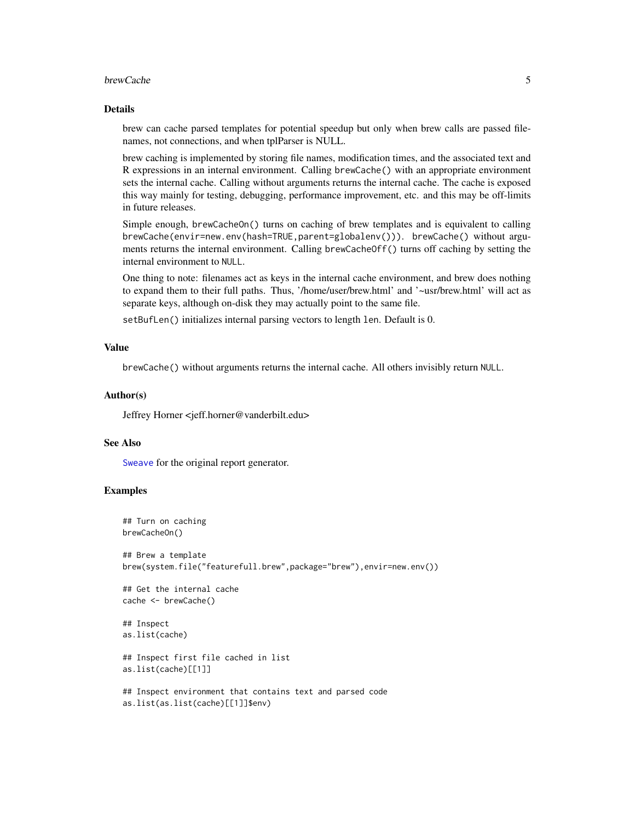#### <span id="page-4-0"></span>brewCache 5

#### Details

brew can cache parsed templates for potential speedup but only when brew calls are passed filenames, not connections, and when tplParser is NULL.

brew caching is implemented by storing file names, modification times, and the associated text and R expressions in an internal environment. Calling brewCache() with an appropriate environment sets the internal cache. Calling without arguments returns the internal cache. The cache is exposed this way mainly for testing, debugging, performance improvement, etc. and this may be off-limits in future releases.

Simple enough, brewCacheOn() turns on caching of brew templates and is equivalent to calling brewCache(envir=new.env(hash=TRUE,parent=globalenv())). brewCache() without arguments returns the internal environment. Calling brewCacheOff() turns off caching by setting the internal environment to NULL.

One thing to note: filenames act as keys in the internal cache environment, and brew does nothing to expand them to their full paths. Thus, '/home/user/brew.html' and '~usr/brew.html' will act as separate keys, although on-disk they may actually point to the same file.

setBufLen() initializes internal parsing vectors to length len. Default is 0.

#### Value

brewCache() without arguments returns the internal cache. All others invisibly return NULL.

#### Author(s)

Jeffrey Horner <jeff.horner@vanderbilt.edu>

#### See Also

[Sweave](#page-0-1) for the original report generator.

#### Examples

```
## Turn on caching
brewCacheOn()
## Brew a template
brew(system.file("featurefull.brew",package="brew"),envir=new.env())
## Get the internal cache
cache <- brewCache()
## Inspect
as.list(cache)
## Inspect first file cached in list
as.list(cache)[[1]]
## Inspect environment that contains text and parsed code
as.list(as.list(cache)[[1]]$env)
```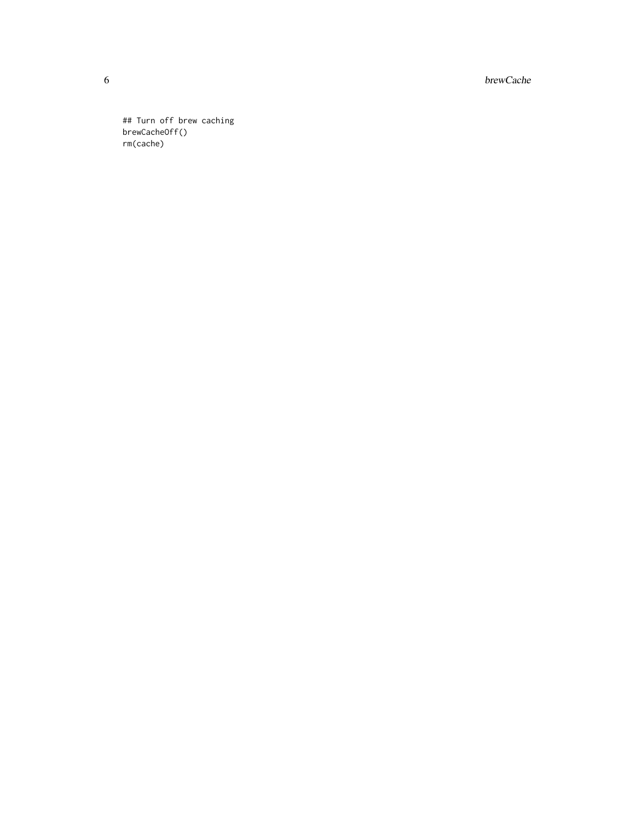6 brewCache

## Turn off brew caching brewCacheOff() rm(cache)